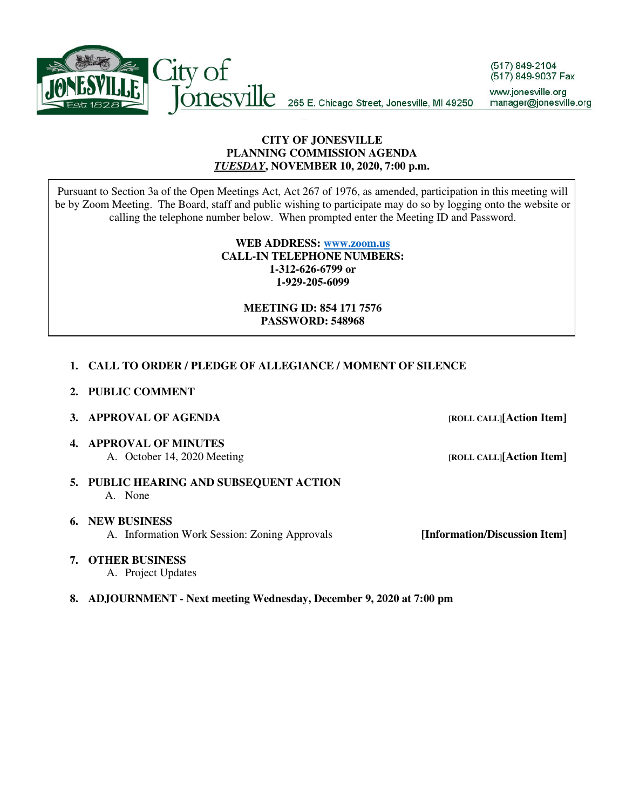

### **CITY OF JONESVILLE PLANNING COMMISSION AGENDA**  *TUESDAY***, NOVEMBER 10, 2020, 7:00 p.m.**

Pursuant to Section 3a of the Open Meetings Act, Act 267 of 1976, as amended, participation in this meeting will be by Zoom Meeting. The Board, staff and public wishing to participate may do so by logging onto the website or calling the telephone number below. When prompted enter the Meeting ID and Password.

> **WEB ADDRESS: www.zoom.us CALL-IN TELEPHONE NUMBERS: 1-312-626-6799 or 1-929-205-6099**

### **MEETING ID: 854 171 7576 PASSWORD: 548968**

## **1. CALL TO ORDER / PLEDGE OF ALLEGIANCE / MOMENT OF SILENCE**

**2. PUBLIC COMMENT** 

#### **3. APPROVAL OF AGENDA** *<b>[ROLL CALL]***[Action Item]**

**4. APPROVAL OF MINUTES**  A. October 14, 2020 Meeting *A. Definition Item ROLL CALL*[Action Item]

**5. PUBLIC HEARING AND SUBSEQUENT ACTION**  A. None

**6. NEW BUSINESS** A. Information Work Session: Zoning Approvals **[Information/Discussion Item]**

**7. OTHER BUSINESS**

A. Project Updates

#### **8. ADJOURNMENT - Next meeting Wednesday, December 9, 2020 at 7:00 pm**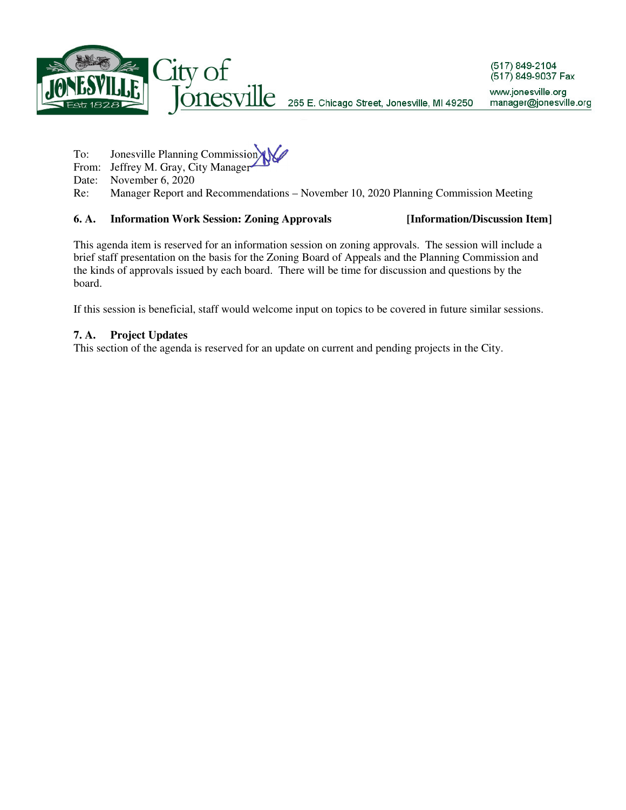

- To: Jonesville Planning Commission
- From: Jeffrey M. Gray, City Manager
- Date: November 6, 2020
- Re: Manager Report and Recommendations November 10, 2020 Planning Commission Meeting

### **6. A. Information Work Session: Zoning Approvals [Information/Discussion Item]**

This agenda item is reserved for an information session on zoning approvals. The session will include a brief staff presentation on the basis for the Zoning Board of Appeals and the Planning Commission and the kinds of approvals issued by each board. There will be time for discussion and questions by the board.

If this session is beneficial, staff would welcome input on topics to be covered in future similar sessions.

## **7. A. Project Updates**

This section of the agenda is reserved for an update on current and pending projects in the City.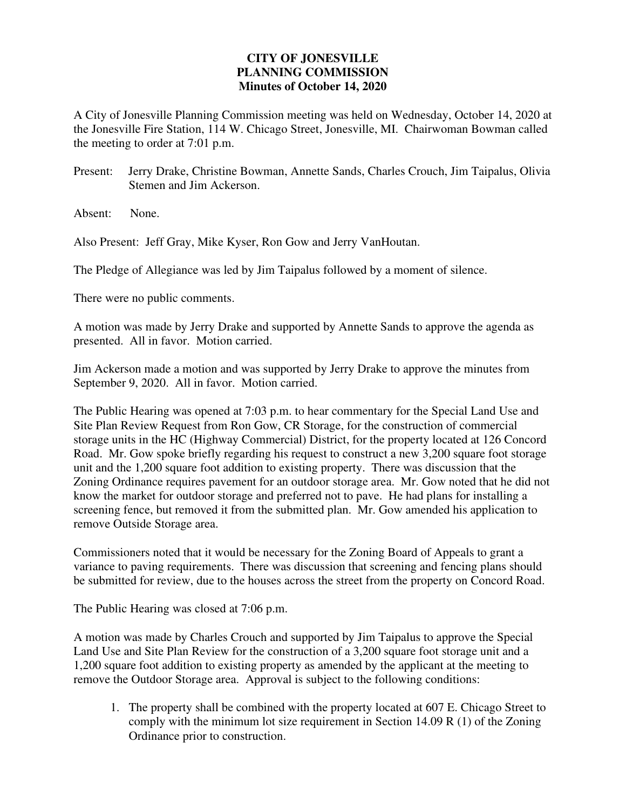# **CITY OF JONESVILLE PLANNING COMMISSION Minutes of October 14, 2020**

A City of Jonesville Planning Commission meeting was held on Wednesday, October 14, 2020 at the Jonesville Fire Station, 114 W. Chicago Street, Jonesville, MI. Chairwoman Bowman called the meeting to order at 7:01 p.m.

Present: Jerry Drake, Christine Bowman, Annette Sands, Charles Crouch, Jim Taipalus, Olivia Stemen and Jim Ackerson.

Absent: None.

Also Present: Jeff Gray, Mike Kyser, Ron Gow and Jerry VanHoutan.

The Pledge of Allegiance was led by Jim Taipalus followed by a moment of silence.

There were no public comments.

A motion was made by Jerry Drake and supported by Annette Sands to approve the agenda as presented. All in favor. Motion carried.

Jim Ackerson made a motion and was supported by Jerry Drake to approve the minutes from September 9, 2020. All in favor. Motion carried.

The Public Hearing was opened at 7:03 p.m. to hear commentary for the Special Land Use and Site Plan Review Request from Ron Gow, CR Storage, for the construction of commercial storage units in the HC (Highway Commercial) District, for the property located at 126 Concord Road. Mr. Gow spoke briefly regarding his request to construct a new 3,200 square foot storage unit and the 1,200 square foot addition to existing property. There was discussion that the Zoning Ordinance requires pavement for an outdoor storage area. Mr. Gow noted that he did not know the market for outdoor storage and preferred not to pave. He had plans for installing a screening fence, but removed it from the submitted plan. Mr. Gow amended his application to remove Outside Storage area.

Commissioners noted that it would be necessary for the Zoning Board of Appeals to grant a variance to paving requirements. There was discussion that screening and fencing plans should be submitted for review, due to the houses across the street from the property on Concord Road.

The Public Hearing was closed at 7:06 p.m.

A motion was made by Charles Crouch and supported by Jim Taipalus to approve the Special Land Use and Site Plan Review for the construction of a 3,200 square foot storage unit and a 1,200 square foot addition to existing property as amended by the applicant at the meeting to remove the Outdoor Storage area. Approval is subject to the following conditions:

1. The property shall be combined with the property located at 607 E. Chicago Street to comply with the minimum lot size requirement in Section 14.09 R  $(1)$  of the Zoning Ordinance prior to construction.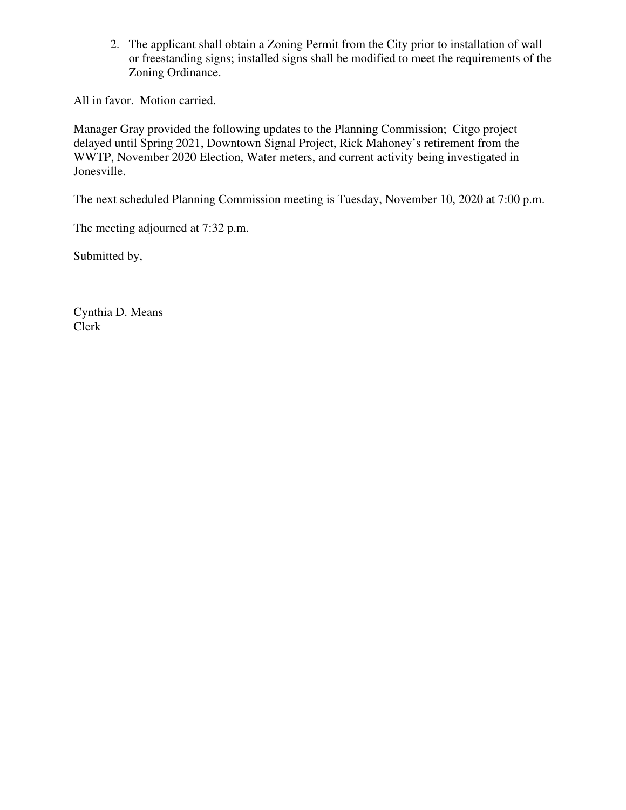2. The applicant shall obtain a Zoning Permit from the City prior to installation of wall or freestanding signs; installed signs shall be modified to meet the requirements of the Zoning Ordinance.

All in favor. Motion carried.

Manager Gray provided the following updates to the Planning Commission; Citgo project delayed until Spring 2021, Downtown Signal Project, Rick Mahoney's retirement from the WWTP, November 2020 Election, Water meters, and current activity being investigated in Jonesville.

The next scheduled Planning Commission meeting is Tuesday, November 10, 2020 at 7:00 p.m.

The meeting adjourned at 7:32 p.m.

Submitted by,

Cynthia D. Means Clerk